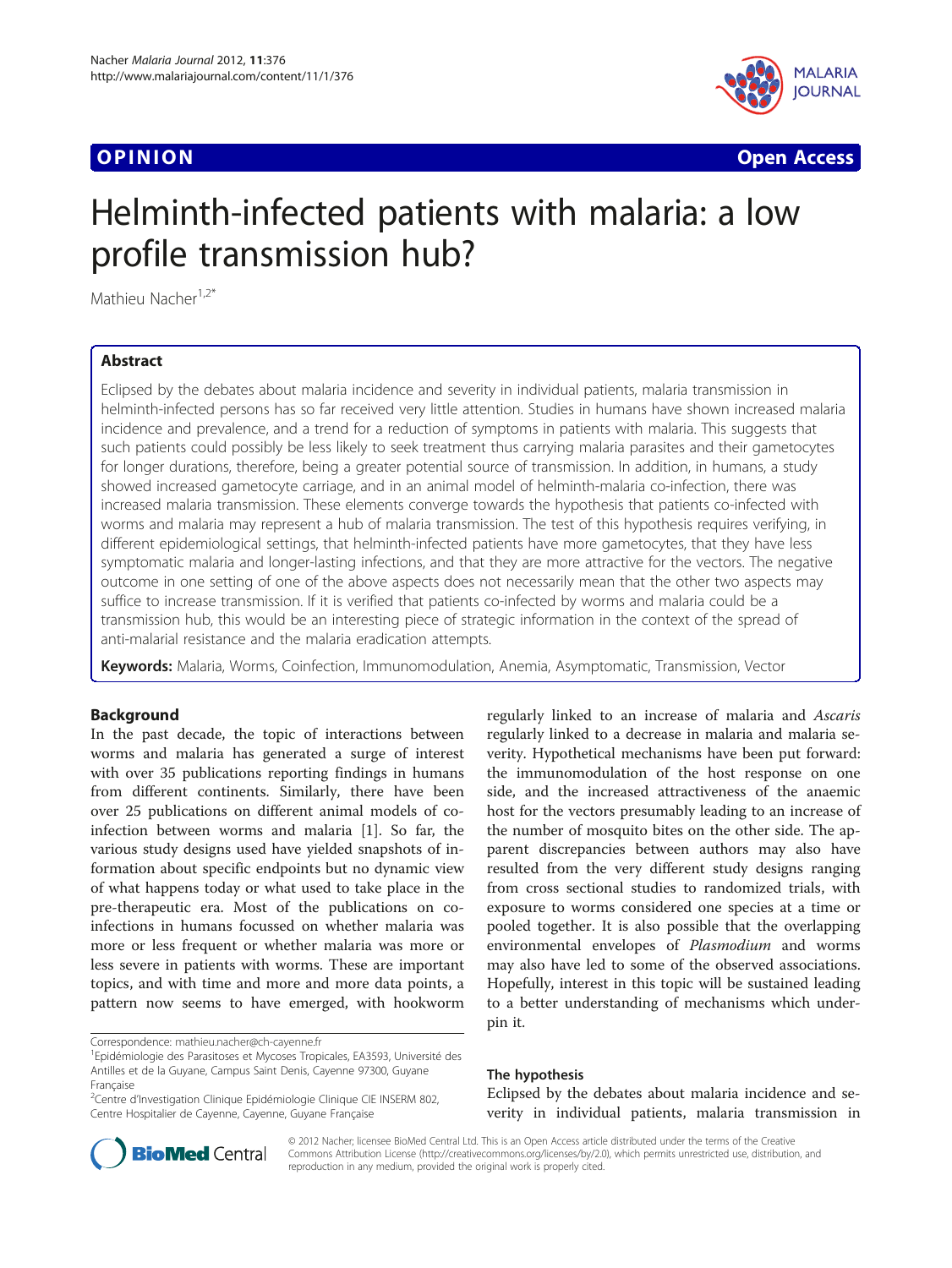

**OPINION** CONTROL CONTROL CONTROL CONTROL CONTROL CONTROL CONTROL CONTROL CONTROL CONTROL CONTROL CONTROL CONTROL CONTROL CONTROL CONTROL CONTROL CONTROL CONTROL CONTROL CONTROL CONTROL CONTROL CONTROL CONTROL CONTROL CONT

# Helminth-infected patients with malaria: a low profile transmission hub?

Mathieu Nacher $1,2^*$ 

# Abstract

Eclipsed by the debates about malaria incidence and severity in individual patients, malaria transmission in helminth-infected persons has so far received very little attention. Studies in humans have shown increased malaria incidence and prevalence, and a trend for a reduction of symptoms in patients with malaria. This suggests that such patients could possibly be less likely to seek treatment thus carrying malaria parasites and their gametocytes for longer durations, therefore, being a greater potential source of transmission. In addition, in humans, a study showed increased gametocyte carriage, and in an animal model of helminth-malaria co-infection, there was increased malaria transmission. These elements converge towards the hypothesis that patients co-infected with worms and malaria may represent a hub of malaria transmission. The test of this hypothesis requires verifying, in different epidemiological settings, that helminth-infected patients have more gametocytes, that they have less symptomatic malaria and longer-lasting infections, and that they are more attractive for the vectors. The negative outcome in one setting of one of the above aspects does not necessarily mean that the other two aspects may suffice to increase transmission. If it is verified that patients co-infected by worms and malaria could be a transmission hub, this would be an interesting piece of strategic information in the context of the spread of anti-malarial resistance and the malaria eradication attempts.

Keywords: Malaria, Worms, Coinfection, Immunomodulation, Anemia, Asymptomatic, Transmission, Vector

# Background

In the past decade, the topic of interactions between worms and malaria has generated a surge of interest with over 35 publications reporting findings in humans from different continents. Similarly, there have been over 25 publications on different animal models of coinfection between worms and malaria [[1\]](#page-2-0). So far, the various study designs used have yielded snapshots of information about specific endpoints but no dynamic view of what happens today or what used to take place in the pre-therapeutic era. Most of the publications on coinfections in humans focussed on whether malaria was more or less frequent or whether malaria was more or less severe in patients with worms. These are important topics, and with time and more and more data points, a pattern now seems to have emerged, with hookworm

regularly linked to an increase of malaria and Ascaris regularly linked to a decrease in malaria and malaria severity. Hypothetical mechanisms have been put forward: the immunomodulation of the host response on one side, and the increased attractiveness of the anaemic host for the vectors presumably leading to an increase of the number of mosquito bites on the other side. The apparent discrepancies between authors may also have resulted from the very different study designs ranging from cross sectional studies to randomized trials, with exposure to worms considered one species at a time or pooled together. It is also possible that the overlapping environmental envelopes of Plasmodium and worms may also have led to some of the observed associations. Hopefully, interest in this topic will be sustained leading to a better understanding of mechanisms which underpin it.

#### The hypothesis

Eclipsed by the debates about malaria incidence and severity in individual patients, malaria transmission in



© 2012 Nacher; licensee BioMed Central Ltd. This is an Open Access article distributed under the terms of the Creative Commons Attribution License [\(http://creativecommons.org/licenses/by/2.0\)](http://creativecommons.org/licenses/by/2.0), which permits unrestricted use, distribution, and reproduction in any medium, provided the original work is properly cited.

Correspondence: [mathieu.nacher@ch-cayenne.fr](mailto:mathieu.nacher@ch-cayenne.fr) <sup>1</sup>

<sup>&</sup>lt;sup>1</sup>Epidémiologie des Parasitoses et Mycoses Tropicales, EA3593, Université des Antilles et de la Guyane, Campus Saint Denis, Cayenne 97300, Guyane Française

<sup>&</sup>lt;sup>2</sup>Centre d'Investigation Clinique Epidémiologie Clinique CIE INSERM 802, Centre Hospitalier de Cayenne, Cayenne, Guyane Française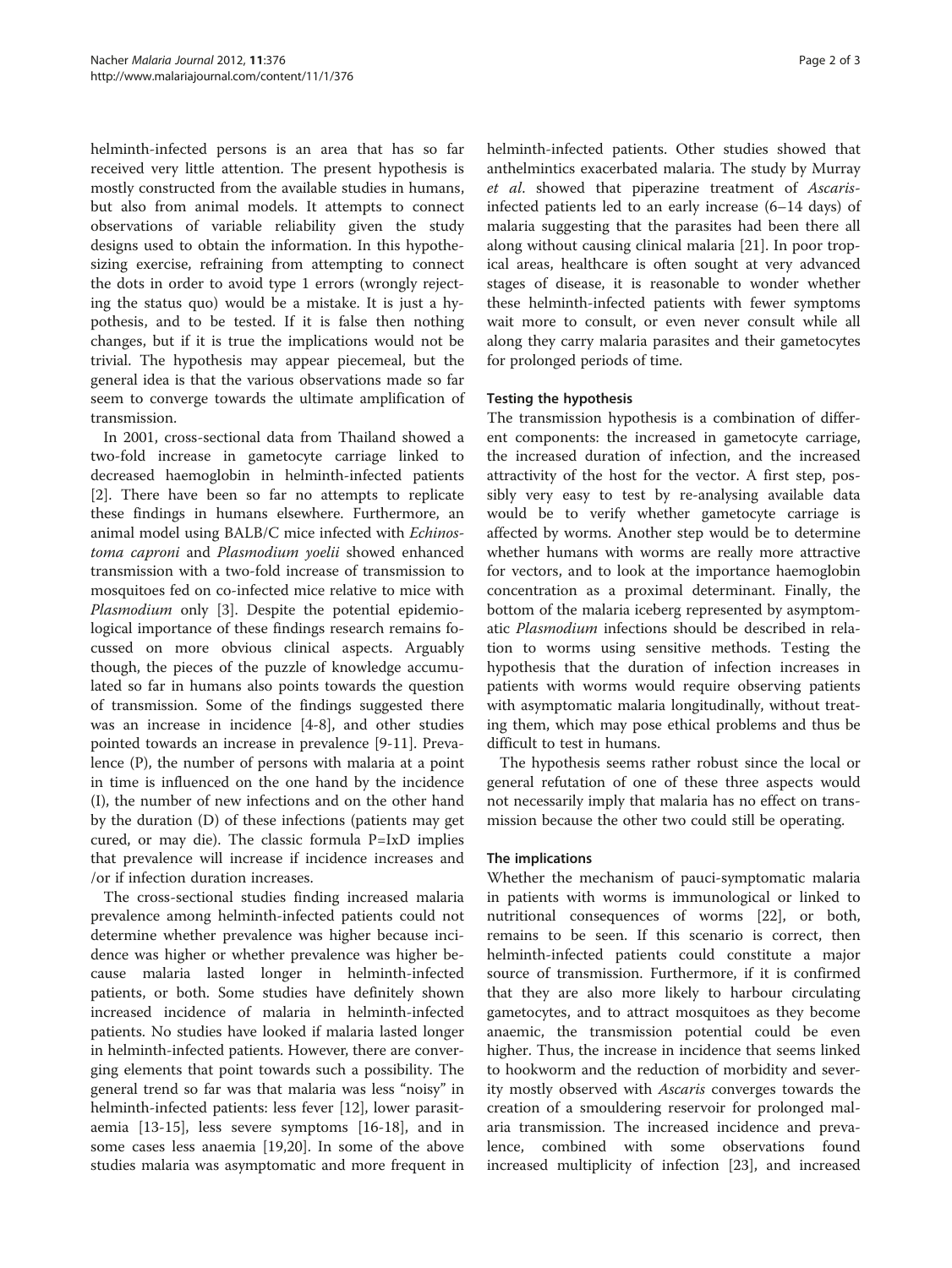helminth-infected persons is an area that has so far received very little attention. The present hypothesis is mostly constructed from the available studies in humans, but also from animal models. It attempts to connect observations of variable reliability given the study designs used to obtain the information. In this hypothesizing exercise, refraining from attempting to connect the dots in order to avoid type 1 errors (wrongly rejecting the status quo) would be a mistake. It is just a hypothesis, and to be tested. If it is false then nothing changes, but if it is true the implications would not be trivial. The hypothesis may appear piecemeal, but the general idea is that the various observations made so far seem to converge towards the ultimate amplification of transmission.

In 2001, cross-sectional data from Thailand showed a two-fold increase in gametocyte carriage linked to decreased haemoglobin in helminth-infected patients [[2\]](#page-2-0). There have been so far no attempts to replicate these findings in humans elsewhere. Furthermore, an animal model using BALB/C mice infected with Echinostoma caproni and Plasmodium yoelii showed enhanced transmission with a two-fold increase of transmission to mosquitoes fed on co-infected mice relative to mice with Plasmodium only [[3\]](#page-2-0). Despite the potential epidemiological importance of these findings research remains focussed on more obvious clinical aspects. Arguably though, the pieces of the puzzle of knowledge accumulated so far in humans also points towards the question of transmission. Some of the findings suggested there was an increase in incidence [\[4-8](#page-2-0)], and other studies pointed towards an increase in prevalence [\[9](#page-2-0)-[11\]](#page-2-0). Prevalence (P), the number of persons with malaria at a point in time is influenced on the one hand by the incidence (I), the number of new infections and on the other hand by the duration (D) of these infections (patients may get cured, or may die). The classic formula P=IxD implies that prevalence will increase if incidence increases and /or if infection duration increases.

The cross-sectional studies finding increased malaria prevalence among helminth-infected patients could not determine whether prevalence was higher because incidence was higher or whether prevalence was higher because malaria lasted longer in helminth-infected patients, or both. Some studies have definitely shown increased incidence of malaria in helminth-infected patients. No studies have looked if malaria lasted longer in helminth-infected patients. However, there are converging elements that point towards such a possibility. The general trend so far was that malaria was less "noisy" in helminth-infected patients: less fever [\[12](#page-2-0)], lower parasitaemia [[13-15\]](#page-2-0), less severe symptoms [\[16-18](#page-2-0)], and in some cases less anaemia [[19](#page-2-0),[20](#page-2-0)]. In some of the above studies malaria was asymptomatic and more frequent in helminth-infected patients. Other studies showed that anthelmintics exacerbated malaria. The study by Murray et al. showed that piperazine treatment of Ascarisinfected patients led to an early increase (6–14 days) of malaria suggesting that the parasites had been there all along without causing clinical malaria [[21\]](#page-2-0). In poor tropical areas, healthcare is often sought at very advanced stages of disease, it is reasonable to wonder whether these helminth-infected patients with fewer symptoms wait more to consult, or even never consult while all along they carry malaria parasites and their gametocytes for prolonged periods of time.

# Testing the hypothesis

The transmission hypothesis is a combination of different components: the increased in gametocyte carriage, the increased duration of infection, and the increased attractivity of the host for the vector. A first step, possibly very easy to test by re-analysing available data would be to verify whether gametocyte carriage is affected by worms. Another step would be to determine whether humans with worms are really more attractive for vectors, and to look at the importance haemoglobin concentration as a proximal determinant. Finally, the bottom of the malaria iceberg represented by asymptomatic Plasmodium infections should be described in relation to worms using sensitive methods. Testing the hypothesis that the duration of infection increases in patients with worms would require observing patients with asymptomatic malaria longitudinally, without treating them, which may pose ethical problems and thus be difficult to test in humans.

The hypothesis seems rather robust since the local or general refutation of one of these three aspects would not necessarily imply that malaria has no effect on transmission because the other two could still be operating.

# The implications

Whether the mechanism of pauci-symptomatic malaria in patients with worms is immunological or linked to nutritional consequences of worms [[22\]](#page-2-0), or both, remains to be seen. If this scenario is correct, then helminth-infected patients could constitute a major source of transmission. Furthermore, if it is confirmed that they are also more likely to harbour circulating gametocytes, and to attract mosquitoes as they become anaemic, the transmission potential could be even higher. Thus, the increase in incidence that seems linked to hookworm and the reduction of morbidity and severity mostly observed with Ascaris converges towards the creation of a smouldering reservoir for prolonged malaria transmission. The increased incidence and prevalence, combined with some observations found increased multiplicity of infection [[23\]](#page-2-0), and increased